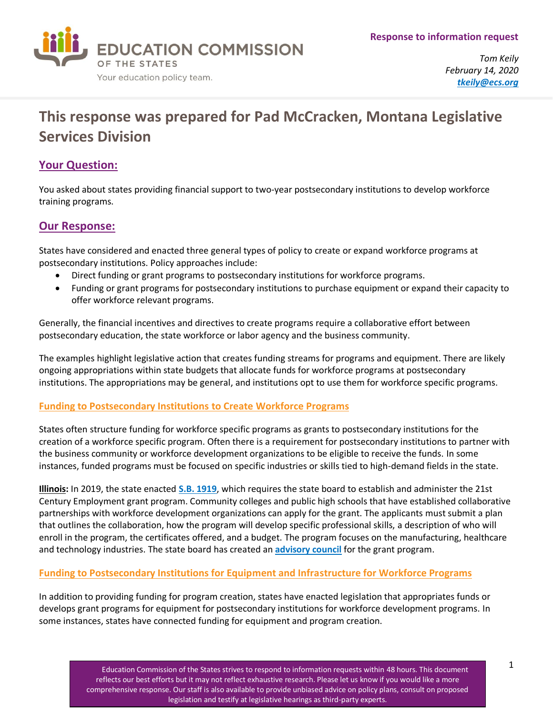

*Tom Keily February 14, 2020 [tkeily@ecs.org](mailto:tkeily@ecs.org)*

# **This response was prepared for Pad McCracken, Montana Legislative Services Division**

## **Your Question:**

You asked about states providing financial support to two-year postsecondary institutions to develop workforce training programs.

## **Our Response:**

States have considered and enacted three general types of policy to create or expand workforce programs at postsecondary institutions. Policy approaches include:

- Direct funding or grant programs to postsecondary institutions for workforce programs.
- Funding or grant programs for postsecondary institutions to purchase equipment or expand their capacity to offer workforce relevant programs.

Generally, the financial incentives and directives to create programs require a collaborative effort between postsecondary education, the state workforce or labor agency and the business community.

The examples highlight legislative action that creates funding streams for programs and equipment. There are likely ongoing appropriations within state budgets that allocate funds for workforce programs at postsecondary institutions. The appropriations may be general, and institutions opt to use them for workforce specific programs.

### **Funding to Postsecondary Institutions to Create Workforce Programs**

States often structure funding for workforce specific programs as grants to postsecondary institutions for the creation of a workforce specific program. Often there is a requirement for postsecondary institutions to partner with the business community or workforce development organizations to be eligible to receive the funds. In some instances, funded programs must be focused on specific industries or skills tied to high-demand fields in the state.

**Illinois:** In 2019, the state enacted **[S.B. 1919](https://s3.amazonaws.com/fn-document-service/file-by-sha384/10554e2cecc45e2755342801bac44ba6d12574f5c114bf2fbdce461ad0334d4a9accc7109936539ecfb2b88094a9b463)**, which requires the state board to establish and administer the 21st Century Employment grant program. Community colleges and public high schools that have established collaborative partnerships with workforce development organizations can apply for the grant. The applicants must submit a plan that outlines the collaboration, how the program will develop specific professional skills, a description of who will enroll in the program, the certificates offered, and a budget. The program focuses on the manufacturing, healthcare and technology industries. The state board has created an **[advisory council](https://www2.illinois.gov/sites/bac/SitePages/AppointmentsDetail.aspx?BCID=1207)** for the grant program.

### **Funding to Postsecondary Institutions for Equipment and Infrastructure for Workforce Programs**

In addition to providing funding for program creation, states have enacted legislation that appropriates funds or develops grant programs for equipment for postsecondary institutions for workforce development programs. In some instances, states have connected funding for equipment and program creation.

> Education Commission of the States strives to respond to information requests within 48 hours. This document reflects our best efforts but it may not reflect exhaustive research. Please let us know if you would like a more comprehensive response. Our staff is also available to provide unbiased advice on policy plans, consult on proposed legislation and testify at legislative hearings as third-party experts.